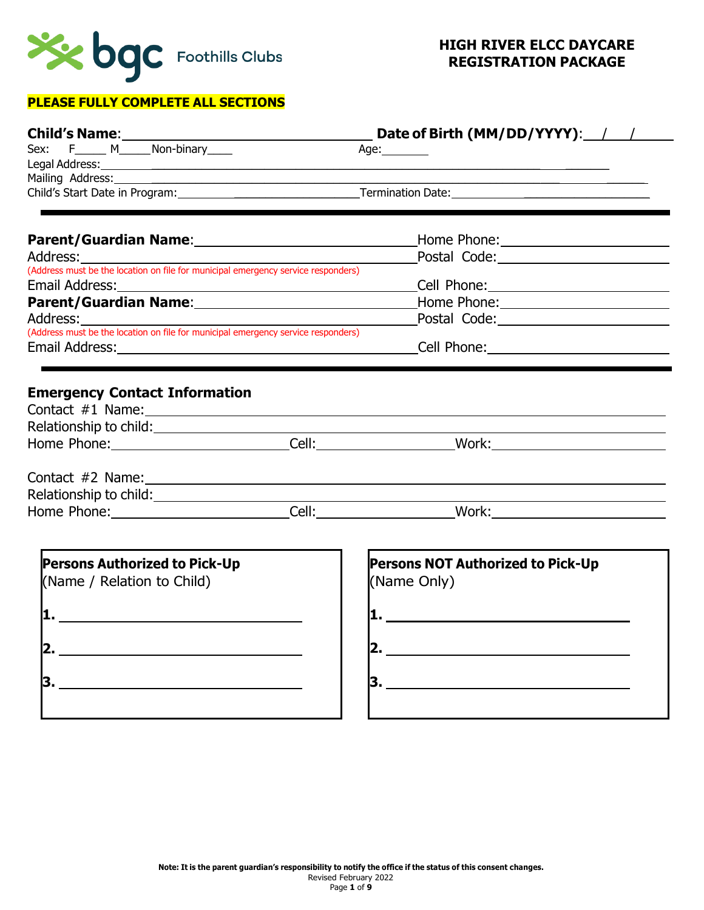

## **PLEASE FULLY COMPLETE ALL SECTIONS**

| Child's Name: ___________                                                                                      | Date of Birth (MM/DD/YYYY): / /                                                                                                                                                                                               |  |  |
|----------------------------------------------------------------------------------------------------------------|-------------------------------------------------------------------------------------------------------------------------------------------------------------------------------------------------------------------------------|--|--|
| F_______ M_______ Non-binary_____<br>Sex:                                                                      | Age: $\_\_\_\_\_\_\_\_\$                                                                                                                                                                                                      |  |  |
|                                                                                                                | Legal Address: No. 2014 12:30 12:30 12:30 12:30 12:30 12:30 12:30 12:30 12:30 12:30 12:30 12:30 12:30 12:30 12:30 12:30 12:30 12:30 12:30 12:30 12:30 12:30 12:30 12:30 12:30 12:30 12:30 12:30 12:30 12:30 12:30 12:30 12:30 |  |  |
|                                                                                                                |                                                                                                                                                                                                                               |  |  |
|                                                                                                                |                                                                                                                                                                                                                               |  |  |
|                                                                                                                | Home Phone: 2008                                                                                                                                                                                                              |  |  |
| Address:                                                                                                       |                                                                                                                                                                                                                               |  |  |
| (Address must be the location on file for municipal emergency service responders)                              |                                                                                                                                                                                                                               |  |  |
| Email Address:                                                                                                 |                                                                                                                                                                                                                               |  |  |
| Parent/Guardian Name: Mannel Manual Manual Manual Manual Manual Manual Manual Manual Manual Manual Manual Manu |                                                                                                                                                                                                                               |  |  |
| Address:                                                                                                       | Postal Code: 2000 Postal Code:                                                                                                                                                                                                |  |  |
| (Address must be the location on file for municipal emergency service responders)                              |                                                                                                                                                                                                                               |  |  |
|                                                                                                                |                                                                                                                                                                                                                               |  |  |
|                                                                                                                |                                                                                                                                                                                                                               |  |  |
|                                                                                                                |                                                                                                                                                                                                                               |  |  |
|                                                                                                                |                                                                                                                                                                                                                               |  |  |
| <b>Persons Authorized to Pick-Up</b><br>(Name / Relation to Child)                                             | <b>Persons NOT Authorized to Pick-Up</b><br>(Name Only)                                                                                                                                                                       |  |  |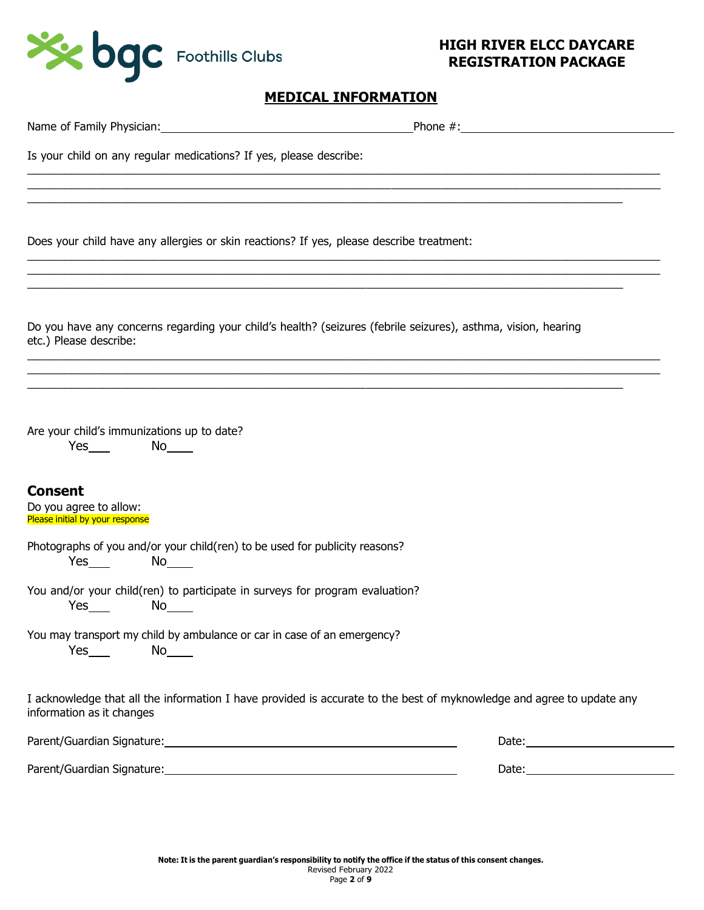

# **MEDICAL INFORMATION**

| Name of Family Physician: Name of Family Physician: Name of Family Physician: Name of Family Physician: Name of Superior Superior Superior Superior Superior Superior Superior Superior Superior Superior Superior Superior Su |            |  |  |
|--------------------------------------------------------------------------------------------------------------------------------------------------------------------------------------------------------------------------------|------------|--|--|
| Is your child on any regular medications? If yes, please describe:                                                                                                                                                             |            |  |  |
|                                                                                                                                                                                                                                |            |  |  |
| Does your child have any allergies or skin reactions? If yes, please describe treatment:                                                                                                                                       |            |  |  |
| Do you have any concerns regarding your child's health? (seizures (febrile seizures), asthma, vision, hearing<br>etc.) Please describe:                                                                                        |            |  |  |
| Are your child's immunizations up to date?<br>$Yes$ No $No$                                                                                                                                                                    |            |  |  |
| <b>Consent</b><br>Do you agree to allow:<br>Please initial by your response                                                                                                                                                    |            |  |  |
| Photographs of you and/or your child(ren) to be used for publicity reasons?<br>$Yes$ and $X$                                                                                                                                   |            |  |  |
| You and/or your child(ren) to participate in surveys for program evaluation?<br>$Yes \t{1}$                                                                                                                                    |            |  |  |
| You may transport my child by ambulance or car in case of an emergency?<br>$Yes$ $No$                                                                                                                                          |            |  |  |
| I acknowledge that all the information I have provided is accurate to the best of myknowledge and agree to update any<br>information as it changes                                                                             |            |  |  |
|                                                                                                                                                                                                                                | Date: 2008 |  |  |
|                                                                                                                                                                                                                                |            |  |  |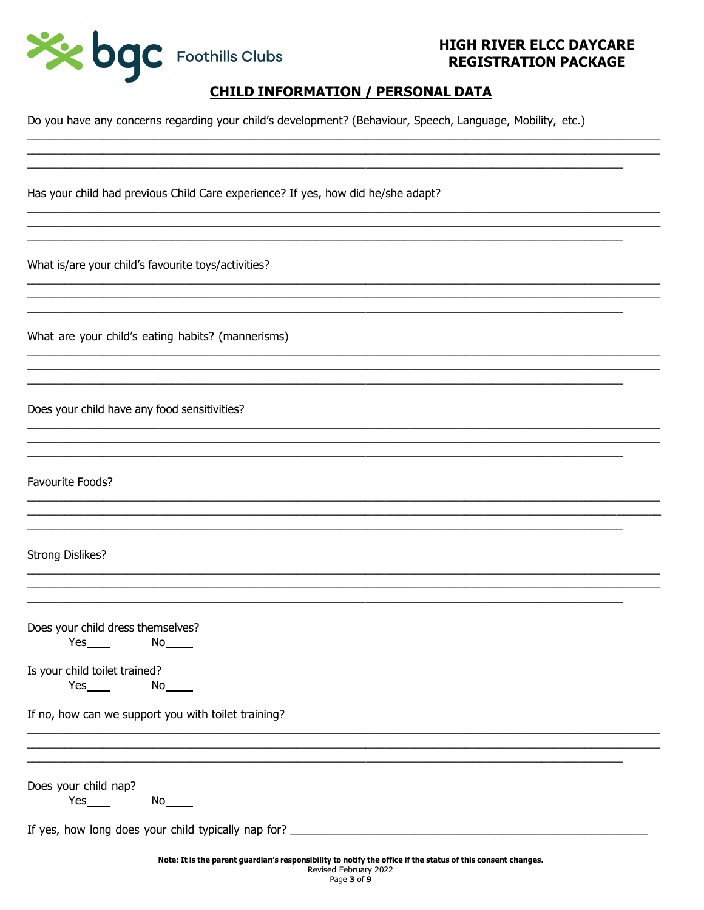

# **CHILD INFORMATION / PERSONAL DATA**

Do you have any concerns regarding your child's development? (Behaviour, Speech, Language, Mobility, etc.)

Has your child had previous Child Care experience? If yes, how did he/she adapt?

What is/are your child's favourite toys/activities?

What are your child's eating habits? (mannerisms)

Does your child have any food sensitivities?

Favourite Foods?

### **Strong Dislikes?**

|     | Does your child dress themselves? |
|-----|-----------------------------------|
| Yes | N٥                                |

Is your child toilet trained?

 $Yes$  and  $X$ 

If no, how can we support you with toilet training?

Does your child nap?

**Yes** and the set of the set of the set of the set of the set of the set of the set of the set of the set of the set of the set of the set of the set of the set of the set of the set of the set of the set of the set of the 

If yes, how long does your child typically nap for?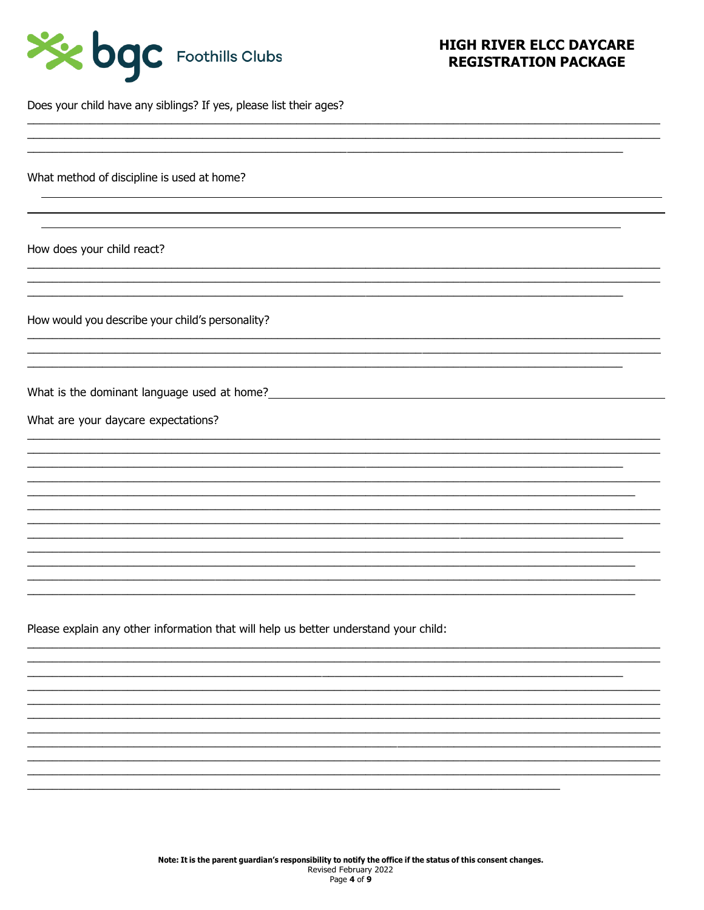| See bac Foothills Clubs |  |
|-------------------------|--|
|-------------------------|--|

Does your child have any siblings? If yes, please list their ages?

What method of discipline is used at home?

How does your child react?

How would you describe your child's personality?

What is the dominant language used at home?<br>
Monthly and the state of the state of the state of the state of the state of the state of the state of the state of the state of the state of the state of the state of the state

What are your daycare expectations?

Please explain any other information that will help us better understand your child: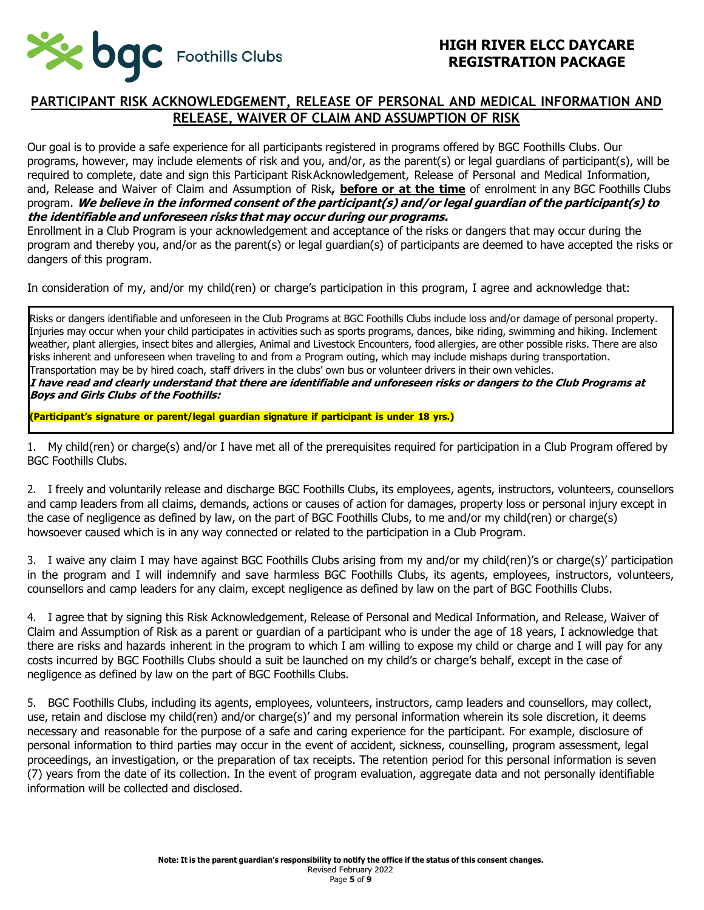

## **PARTICIPANT RISK ACKNOWLEDGEMENT, RELEASE OF PERSONAL AND MEDICAL INFORMATION AND RELEASE, WAIVER OF CLAIM AND ASSUMPTION OF RISK**

Our goal is to provide a safe experience for all participants registered in programs offered by BGC Foothills Clubs. Our programs, however, may include elements of risk and you, and/or, as the parent(s) or legal guardians of participant(s), will be required to complete, date and sign this Participant RiskAcknowledgement, Release of Personal and Medical Information, and, Release and Waiver of Claim and Assumption of Risk**, before or at the time** of enrolment in any BGC Foothills Clubs program. **We believe in the informed consent of the participant(s) and/or legal guardian of the participant(s) to the identifiable and unforeseen risks that may occur during our programs.**

Enrollment in a Club Program is your acknowledgement and acceptance of the risks or dangers that may occur during the program and thereby you, and/or as the parent(s) or legal guardian(s) of participants are deemed to have accepted the risks or dangers of this program.

In consideration of my, and/or my child(ren) or charge's participation in this program, I agree and acknowledge that:

Risks or dangers identifiable and unforeseen in the Club Programs at BGC Foothills Clubs include loss and/or damage of personal property. Injuries may occur when your child participates in activities such as sports programs, dances, bike riding, swimming and hiking. Inclement weather, plant allergies, insect bites and allergies, Animal and Livestock Encounters, food allergies, are other possible risks. There are also risks inherent and unforeseen when traveling to and from a Program outing, which may include mishaps during transportation. Transportation may be by hired coach, staff drivers in the clubs' own bus or volunteer drivers in their own vehicles. **I have read and clearly understand that there are identifiable and unforeseen risks or dangers to the Club Programs at Boys and Girls Clubs of the Foothills:**

**(Participant's signature or parent/legal guardian signature if participant is under 18 yrs.)**

1. My child(ren) or charge(s) and/or I have met all of the prerequisites required for participation in a Club Program offered by BGC Foothills Clubs.

2. I freely and voluntarily release and discharge BGC Foothills Clubs, its employees, agents, instructors, volunteers, counsellors and camp leaders from all claims, demands, actions or causes of action for damages, property loss or personal injury except in the case of negligence as defined by law, on the part of BGC Foothills Clubs, to me and/or my child(ren) or charge(s) howsoever caused which is in any way connected or related to the participation in a Club Program.

3. I waive any claim I may have against BGC Foothills Clubs arising from my and/or my child(ren)'s or charge(s)' participation in the program and I will indemnify and save harmless BGC Foothills Clubs, its agents, employees, instructors, volunteers, counsellors and camp leaders for any claim, except negligence as defined by law on the part of BGC Foothills Clubs.

4. I agree that by signing this Risk Acknowledgement, Release of Personal and Medical Information, and Release, Waiver of Claim and Assumption of Risk as a parent or guardian of a participant who is under the age of 18 years, I acknowledge that there are risks and hazards inherent in the program to which I am willing to expose my child or charge and I will pay for any costs incurred by BGC Foothills Clubs should a suit be launched on my child's or charge's behalf, except in the case of negligence as defined by law on the part of BGC Foothills Clubs.

5. BGC Foothills Clubs, including its agents, employees, volunteers, instructors, camp leaders and counsellors, may collect, use, retain and disclose my child(ren) and/or charge(s)' and my personal information wherein its sole discretion, it deems necessary and reasonable for the purpose of a safe and caring experience for the participant. For example, disclosure of personal information to third parties may occur in the event of accident, sickness, counselling, program assessment, legal proceedings, an investigation, or the preparation of tax receipts. The retention period for this personal information is seven (7) years from the date of its collection. In the event of program evaluation, aggregate data and not personally identifiable information will be collected and disclosed.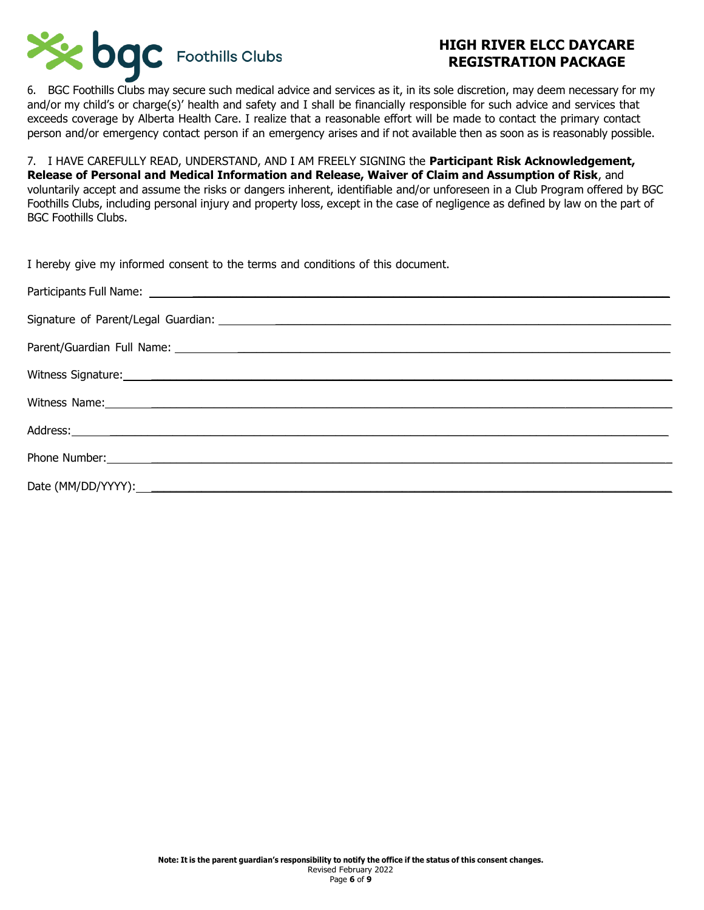

6. BGC Foothills Clubs may secure such medical advice and services as it, in its sole discretion, may deem necessary for my and/or my child's or charge(s)' health and safety and I shall be financially responsible for such advice and services that exceeds coverage by Alberta Health Care. I realize that a reasonable effort will be made to contact the primary contact person and/or emergency contact person if an emergency arises and if not available then as soon as is reasonably possible.

7. I HAVE CAREFULLY READ, UNDERSTAND, AND I AM FREELY SIGNING the **Participant Risk Acknowledgement, Release of Personal and Medical Information and Release, Waiver of Claim and Assumption of Risk**, and voluntarily accept and assume the risks or dangers inherent, identifiable and/or unforeseen in a Club Program offered by BGC Foothills Clubs, including personal injury and property loss, except in the case of negligence as defined by law on the part of BGC Foothills Clubs.

| I hereby give my informed consent to the terms and conditions of this document.                                                                                                                                                |
|--------------------------------------------------------------------------------------------------------------------------------------------------------------------------------------------------------------------------------|
|                                                                                                                                                                                                                                |
| Signature of Parent/Legal Guardian: experience of the state of the state of the state of the state of the state of the state of the state of the state of the state of the state of the state of the state of the state of the |
|                                                                                                                                                                                                                                |
| Witness Signature: and the contract of the contract of the contract of the contract of the contract of the contract of the contract of the contract of the contract of the contract of the contract of the contract of the con |
| Witness Name: 1988 Manual Manual Manual Manual Manual Manual Manual Manual Manual Manual Manual Manual Manual                                                                                                                  |
|                                                                                                                                                                                                                                |
|                                                                                                                                                                                                                                |
|                                                                                                                                                                                                                                |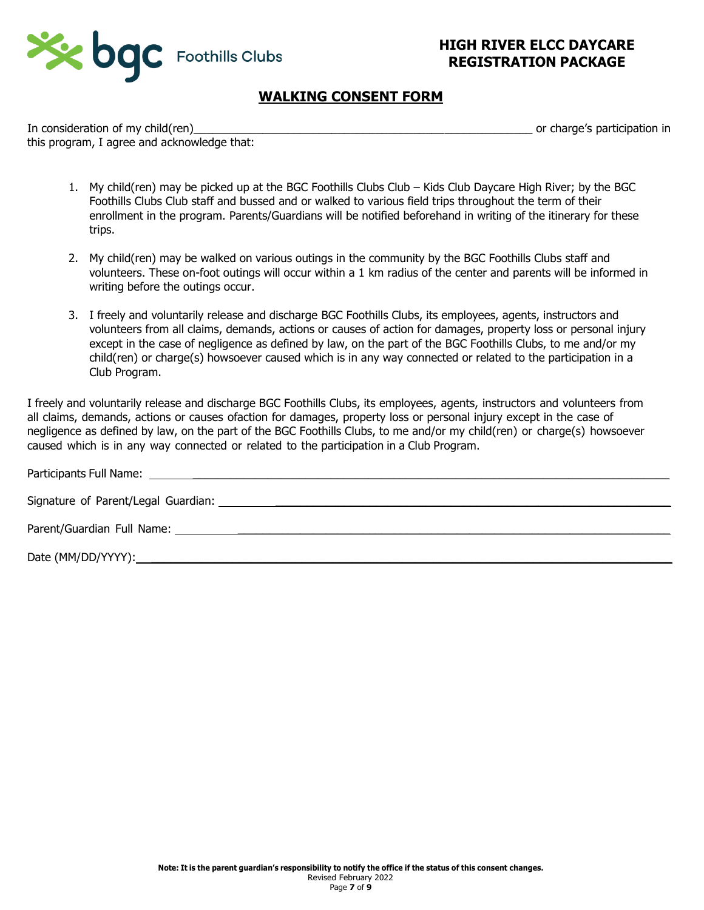

## **WALKING CONSENT FORM**

In consideration of my child(ren) and the state of the state of the state of the state of the state of the state of the state of the state of the state of the state of the state of the state of the state of the state of th this program, I agree and acknowledge that:

- 1. My child(ren) may be picked up at the BGC Foothills Clubs Club Kids Club Daycare High River; by the BGC Foothills Clubs Club staff and bussed and or walked to various field trips throughout the term of their enrollment in the program. Parents/Guardians will be notified beforehand in writing of the itinerary for these trips.
- 2. My child(ren) may be walked on various outings in the community by the BGC Foothills Clubs staff and volunteers. These on-foot outings will occur within a 1 km radius of the center and parents will be informed in writing before the outings occur.
- 3. I freely and voluntarily release and discharge BGC Foothills Clubs, its employees, agents, instructors and volunteers from all claims, demands, actions or causes of action for damages, property loss or personal injury except in the case of negligence as defined by law, on the part of the BGC Foothills Clubs, to me and/or my child(ren) or charge(s) howsoever caused which is in any way connected or related to the participation in a Club Program.

I freely and voluntarily release and discharge BGC Foothills Clubs, its employees, agents, instructors and volunteers from all claims, demands, actions or causes ofaction for damages, property loss or personal injury except in the case of negligence as defined by law, on the part of the BGC Foothills Clubs, to me and/or my child(ren) or charge(s) howsoever caused which is in any way connected or related to the participation in a Club Program.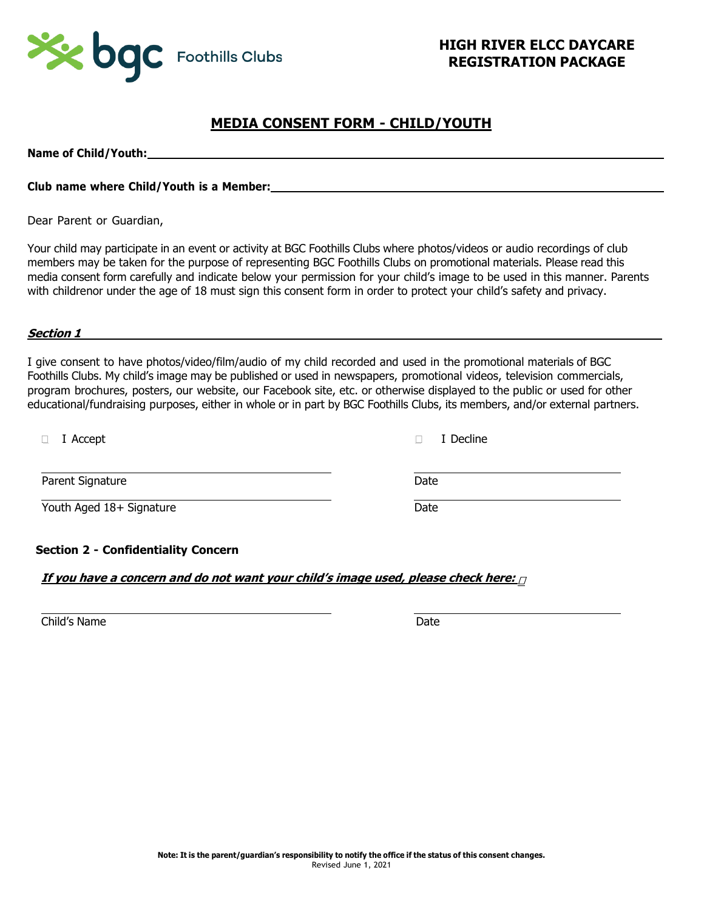

## **MEDIA CONSENT FORM - CHILD/YOUTH**

**Name of Child/Youth:**

### **Club name where Child/Youth is a Member:**

Dear Parent or Guardian,

Your child may participate in an event or activity at BGC Foothills Clubs where photos/videos or audio recordings of club members may be taken for the purpose of representing BGC Foothills Clubs on promotional materials. Please read this media consent form carefully and indicate below your permission for your child's image to be used in this manner. Parents with childrenor under the age of 18 must sign this consent form in order to protect your child's safety and privacy.

#### **Section 1**

I give consent to have photos/video/film/audio of my child recorded and used in the promotional materials of BGC Foothills Clubs. My child's image may be published or used in newspapers, promotional videos, television commercials, program brochures, posters, our website, our Facebook site, etc. or otherwise displayed to the public or used for other educational/fundraising purposes, either in whole or in part by BGC Foothills Clubs, its members, and/or external partners.

| I Accept                 | I Decline |
|--------------------------|-----------|
| Parent Signature         | Date      |
| Youth Aged 18+ Signature | Date      |
|                          |           |

### **Section 2 - Confidentiality Concern**

### **If you have <sup>a</sup> concern and do not want your child's image used, please check here:**

Child's Name Date